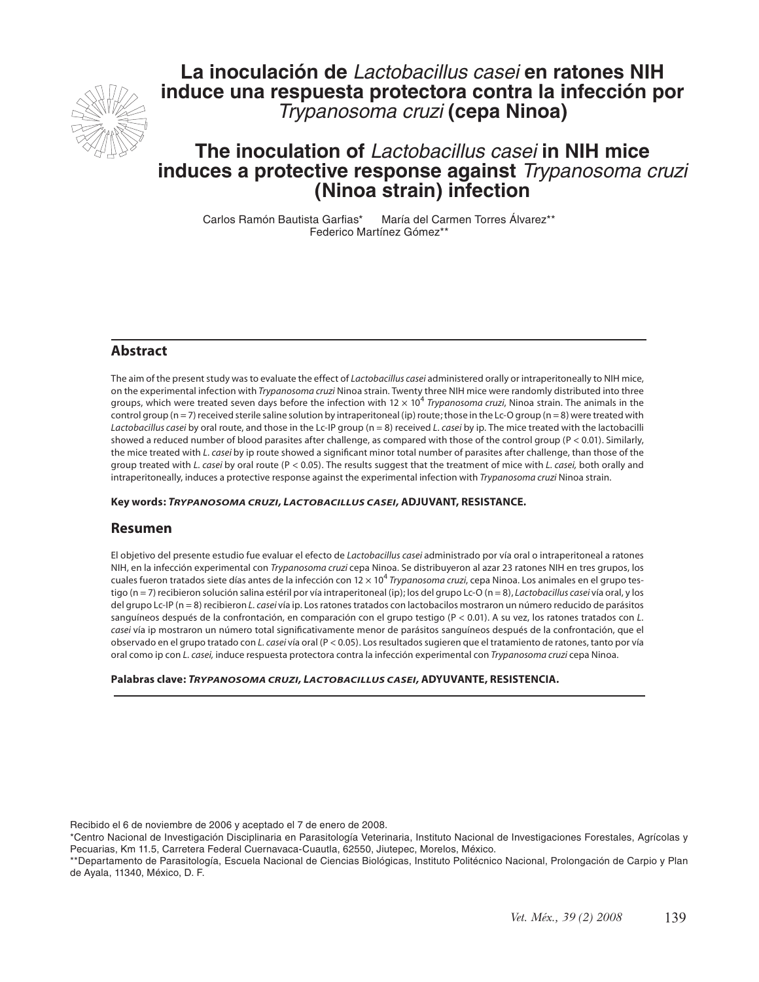

**La inoculación de** *Lactobacillus casei* **en ratones NIH induce una respuesta protectora contra la infección por**  *Trypanosoma cruzi* **(cepa Ninoa)**

# **The inoculation of** *Lactobacillus casei* **in NIH mice induces a protective response against** *Trypanosoma cruzi*  **(Ninoa strain) infection**

Carlos Ramón Bautista Garfias\* María del Carmen Torres Álvarez\*\* Federico Martínez Gómez\*\*

# **Abstract**

The aim of the present study was to evaluate the effect of *Lactobacillus casei* administered orally or intraperitoneally to NIH mice, on the experimental infection with *Trypanosoma cruzi* Ninoa strain. Twenty three NIH mice were randomly distributed into three groups, which were treated seven days before the infection with 12 × 10<sup>4</sup> *Trypanosoma cruzi*, Ninoa strain. The animals in the control group (n = 7) received sterile saline solution by intraperitoneal (ip) route; those in the Lc-O group (n = 8) were treated with *Lactobacillus casei* by oral route, and those in the Lc-IP group (n = 8) received *L. casei* by ip. The mice treated with the lactobacilli showed a reduced number of blood parasites after challenge, as compared with those of the control group (P < 0.01). Similarly, the mice treated with *L. casei* by ip route showed a significant minor total number of parasites after challenge, than those of the group treated with *L. casei* by oral route (P < 0.05). The results suggest that the treatment of mice with *L. casei,* both orally and intraperitoneally, induces a protective response against the experimental infection with *Trypanosoma cruzi* Ninoa strain.

**Key words:** *TRYPANOSOMA CRUZI, LACTOBACILLUS CASEI,* **ADJUVANT, RESISTANCE***.*

### **Resumen**

El objetivo del presente estudio fue evaluar el efecto de *Lactobacillus casei* administrado por vía oral o intraperitoneal a ratones NIH, en la infección experimental con *Trypanosoma cruzi* cepa Ninoa. Se distribuyeron al azar 23 ratones NIH en tres grupos, los cuales fueron tratados siete días antes de la infección con 12 × 10<sup>4</sup> *Trypanosoma cruzi*, cepa Ninoa. Los animales en el grupo testigo (n = 7) recibieron solución salina estéril por vía intraperitoneal (ip); los del grupo Lc-O (n = 8), *Lactobacillus casei* vía oral, y los del grupo Lc-IP (n = 8) recibieron *L. casei* vía ip. Los ratones tratados con lactobacilos mostraron un número reducido de parásitos sanguíneos después de la confrontación, en comparación con el grupo testigo (P < 0.01). A su vez, los ratones tratados con *L.*  casei vía ip mostraron un número total significativamente menor de parásitos sanguíneos después de la confrontación, que el observado en el grupo tratado con *L. casei* vía oral (P < 0.05). Los resultados sugieren que el tratamiento de ratones, tanto por vía oral como ip con *L. casei,* induce respuesta protectora contra la infección experimental con *Trypanosoma cruzi* cepa Ninoa.

#### **Palabras clave:** *TRYPANOSOMA CRUZI, LACTOBACILLUS CASEI,* **ADYUVANTE, RESISTENCIA***.*

Recibido el 6 de noviembre de 2006 y aceptado el 7 de enero de 2008.

\*Centro Nacional de Investigación Disciplinaria en Parasitología Veterinaria, Instituto Nacional de Investigaciones Forestales, Agrícolas y Pecuarias, Km 11.5, Carretera Federal Cuernavaca-Cuautla, 62550, Jiutepec, Morelos, México.

\*\*Departamento de Parasitología, Escuela Nacional de Ciencias Biológicas, Instituto Politécnico Nacional, Prolongación de Carpio y Plan de Ayala, 11340, México, D. F.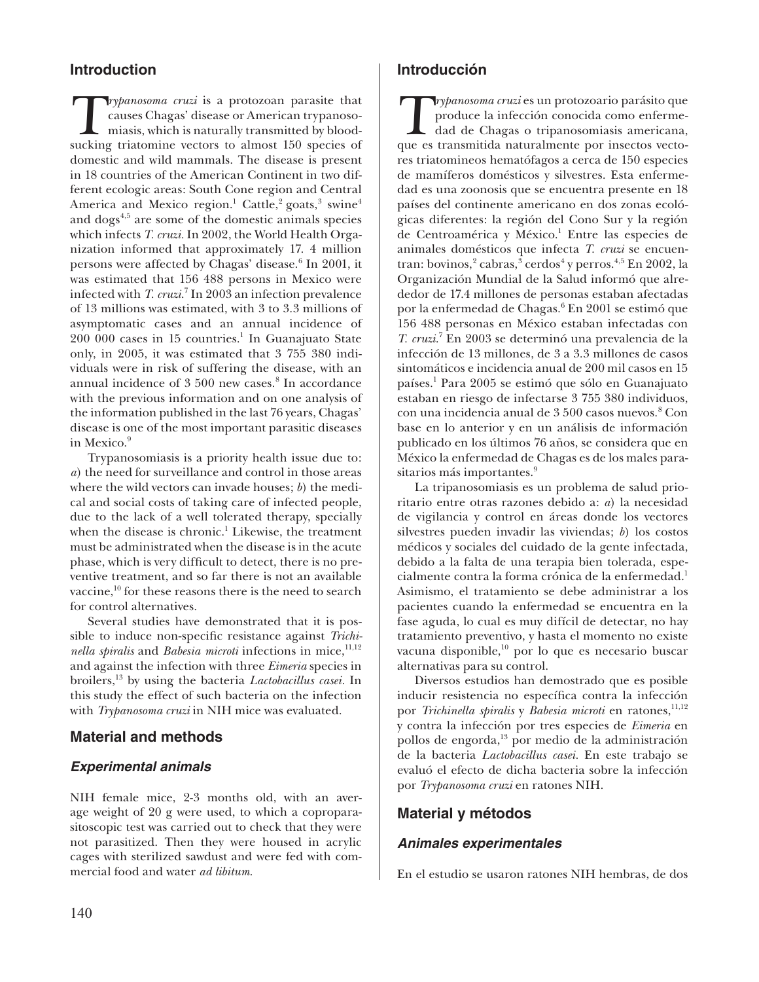# **Introduction**

**T**rypanosoma cruzi is a protozoan parasite that<br>causes Chagas' disease or American trypanosomiasis. which is naturally transmitted by bloodcauses Chagas' disease or American trypanosomiasis, which is naturally transmitted by bloodsucking triatomine vectors to almost 150 species of domestic and wild mammals. The disease is present in 18 countries of the American Continent in two different ecologic areas: South Cone region and Central America and Mexico region. $^1$  Cattle, $^2$  goats, $^3$  swine $^4$ and  $\text{dogs}^{4,5}$  are some of the domestic animals species which infects *T. cruzi.* In 2002, the World Health Organization informed that approximately 17. 4 million persons were affected by Chagas' disease.<sup>6</sup> In 2001, it was estimated that 156 488 persons in Mexico were infected with *T. cruzi.*<sup>7</sup> In 2003 an infection prevalence of 13 millions was estimated, with 3 to 3.3 millions of asymptomatic cases and an annual incidence of  $200000$  cases in 15 countries.<sup>1</sup> In Guanajuato State only, in 2005, it was estimated that 3 755 380 individuals were in risk of suffering the disease, with an annual incidence of 3 500 new cases.<sup>8</sup> In accordance with the previous information and on one analysis of the information published in the last 76 years, Chagas' disease is one of the most important parasitic diseases in Mexico.<sup>9</sup>

Trypanosomiasis is a priority health issue due to: *a*) the need for surveillance and control in those areas where the wild vectors can invade houses; *b*) the medical and social costs of taking care of infected people, due to the lack of a well tolerated therapy, specially when the disease is chronic.<sup>1</sup> Likewise, the treatment must be administrated when the disease is in the acute phase, which is very difficult to detect, there is no preventive treatment, and so far there is not an available vaccine,<sup>10</sup> for these reasons there is the need to search for control alternatives.

Several studies have demonstrated that it is possible to induce non-specific resistance against *Trichinella spiralis* and *Babesia microti* infections in mice,<sup>11,12</sup> and against the infection with three *Eimeria* species in broilers,13 by using the bacteria *Lactobacillus casei.* In this study the effect of such bacteria on the infection with *Trypanosoma cruzi* in NIH mice was evaluated.

# **Material and methods**

# *Experimental animals*

NIH female mice, 2-3 months old, with an average weight of 20 g were used, to which a coproparasitoscopic test was carried out to check that they were not parasitized. Then they were housed in acrylic cages with sterilized sawdust and were fed with commercial food and water *ad libitum*.

# **Introducción**

*Trypanosoma cruzi* es un protozoario parásito que<br>produce la infección conocida como enfermedad de Chagas o tripanosomiasis americana. produce la infección conocida como enfermedad de Chagas o tripanosomiasis americana, que es transmitida naturalmente por insectos vectores triatomineos hematófagos a cerca de 150 especies de mamíferos domésticos y silvestres. Esta enfermedad es una zoonosis que se encuentra presente en 18 países del continente americano en dos zonas ecológicas diferentes: la región del Cono Sur y la región de Centroamérica y México.<sup>1</sup> Entre las especies de animales domésticos que infecta *T. cruzi* se encuentran: bovinos, $^2$  cabras, $^3$  cerdos $^4$  y perros. $^{4,5}$  En 2002, la Organización Mundial de la Salud informó que alrededor de 17.4 millones de personas estaban afectadas por la enfermedad de Chagas.<sup>6</sup> En 2001 se estimó que 156 488 personas en México estaban infectadas con *T. cruzi*. 7 En 2003 se determinó una prevalencia de la infección de 13 millones, de 3 a 3.3 millones de casos sintomáticos e incidencia anual de 200 mil casos en 15 países.1 Para 2005 se estimó que sólo en Guanajuato estaban en riesgo de infectarse 3 755 380 individuos, con una incidencia anual de 3 500 casos nuevos.<sup>8</sup> Con base en lo anterior y en un análisis de información publicado en los últimos 76 años, se considera que en México la enfermedad de Chagas es de los males parasitarios más importantes.<sup>9</sup>

La tripanosomiasis es un problema de salud prioritario entre otras razones debido a: *a*) la necesidad de vigilancia y control en áreas donde los vectores silvestres pueden invadir las viviendas; *b*) los costos médicos y sociales del cuidado de la gente infectada, debido a la falta de una terapia bien tolerada, especialmente contra la forma crónica de la enfermedad.<sup>1</sup> Asimismo, el tratamiento se debe administrar a los pacientes cuando la enfermedad se encuentra en la fase aguda, lo cual es muy difícil de detectar, no hay tratamiento preventivo, y hasta el momento no existe vacuna disponible, $^{10}$  por lo que es necesario buscar alternativas para su control.

Diversos estudios han demostrado que es posible inducir resistencia no específica contra la infección por *Trichinella spiralis* y *Babesia microti* en ratones,<sup>11,12</sup> y contra la infección por tres especies de *Eimeria* en pollos de engorda, $^{13}$  por medio de la administración de la bacteria *Lactobacillus casei.* En este trabajo se evaluó el efecto de dicha bacteria sobre la infección por *Trypanosoma cruzi* en ratones NIH.

# **Material y métodos**

# *Animales experimentales*

En el estudio se usaron ratones NIH hembras, de dos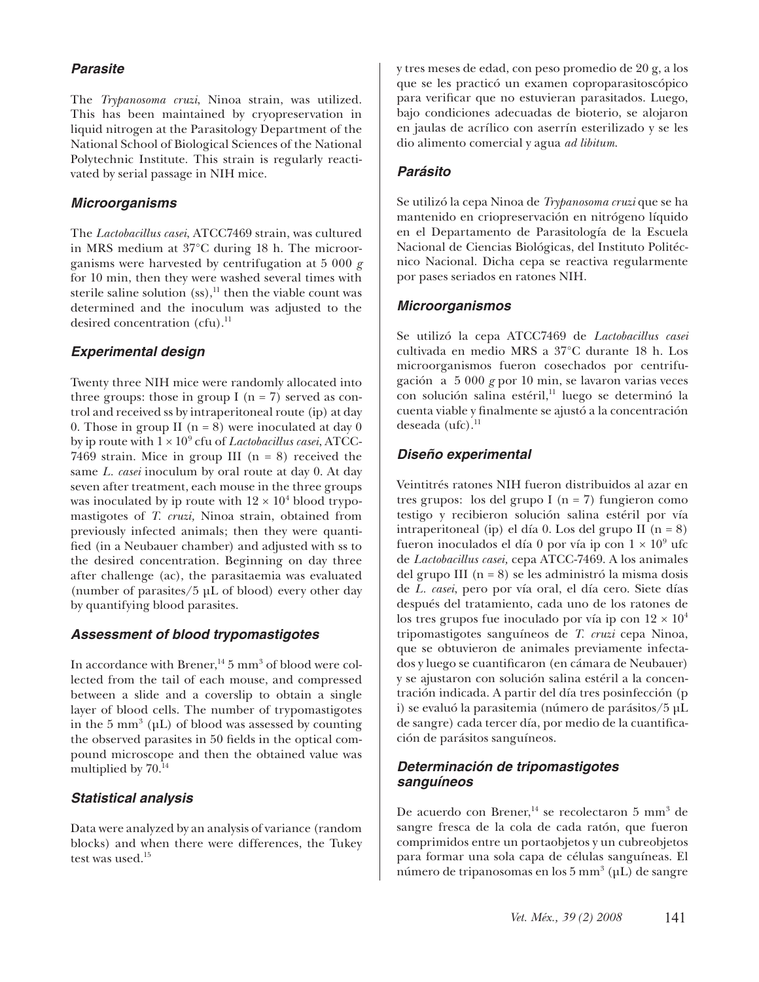# *Parasite*

The *Trypanosoma cruzi*, Ninoa strain, was utilized. This has been maintained by cryopreservation in liquid nitrogen at the Parasitology Department of the National School of Biological Sciences of the National Polytechnic Institute. This strain is regularly reactivated by serial passage in NIH mice.

#### *Microorganisms*

The *Lactobacillus casei*, ATCC7469 strain, was cultured in MRS medium at 37°C during 18 h. The microorganisms were harvested by centrifugation at 5 000 *g*  for 10 min, then they were washed several times with sterile saline solution  $(ss),<sup>11</sup>$  then the viable count was determined and the inoculum was adjusted to the desired concentration  $(cfu)$ .<sup>11</sup>

# *Experimental design*

Twenty three NIH mice were randomly allocated into three groups: those in group I ( $n = 7$ ) served as control and received ss by intraperitoneal route (ip) at day 0. Those in group II ( $n = 8$ ) were inoculated at day 0 by ip route with  $1\times 10^9$  cfu of *Lactobacillus casei*, ATCC-7469 strain. Mice in group III  $(n = 8)$  received the same *L. casei* inoculum by oral route at day 0. At day seven after treatment, each mouse in the three groups was inoculated by ip route with  $12 \times 10^4$  blood trypomastigotes of *T. cruzi,* Ninoa strain, obtained from previously infected animals; then they were quantified (in a Neubauer chamber) and adjusted with ss to the desired concentration. Beginning on day three after challenge (ac), the parasitaemia was evaluated (number of parasites/5 µL of blood) every other day by quantifying blood parasites.

### *Assessment of blood trypomastigotes*

In accordance with Brener, $^{14}$  5 mm<sup>3</sup> of blood were collected from the tail of each mouse, and compressed between a slide and a coverslip to obtain a single layer of blood cells. The number of trypomastigotes in the  $5 \text{ mm}^3$  ( $\mu$ L) of blood was assessed by counting the observed parasites in 50 fields in the optical compound microscope and then the obtained value was multiplied by  $70.<sup>14</sup>$ 

### *Statistical analysis*

Data were analyzed by an analysis of variance (random blocks) and when there were differences, the Tukey test was used.<sup>15</sup>

y tres meses de edad, con peso promedio de 20 g, a los que se les practicó un examen coproparasitoscópico para verificar que no estuvieran parasitados. Luego, bajo condiciones adecuadas de bioterio, se alojaron en jaulas de acrílico con aserrín esterilizado y se les dio alimento comercial y agua *ad libitum*.

# *Parásito*

Se utilizó la cepa Ninoa de *Trypanosoma cruzi* que se ha mantenido en criopreservación en nitrógeno líquido en el Departamento de Parasitología de la Escuela Nacional de Ciencias Biológicas, del Instituto Politécnico Nacional. Dicha cepa se reactiva regularmente por pases seriados en ratones NIH.

### *Microorganismos*

Se utilizó la cepa ATCC7469 de *Lactobacillus casei*  cultivada en medio MRS a 37°C durante 18 h. Los microorganismos fueron cosechados por centrifugación a 5 000 *g* por 10 min, se lavaron varias veces con solución salina estéril,<sup>11</sup> luego se determinó la cuenta viable y finalmente se ajustó a la concentración deseada  $(ufc).<sup>11</sup>$ 

# *Diseño experimental*

Veintitrés ratones NIH fueron distribuidos al azar en tres grupos: los del grupo I ( $n = 7$ ) fungieron como testigo y recibieron solución salina estéril por vía intraperitoneal (ip) el día 0. Los del grupo II (n = 8) fueron inoculados el día 0 por vía ip con  $1 \times 10^9$  ufc de *Lactobacillus casei,* cepa ATCC-7469. A los animales del grupo III  $(n = 8)$  se les administró la misma dosis de *L. casei*, pero por vía oral, el día cero. Siete días después del tratamiento, cada uno de los ratones de los tres grupos fue inoculado por vía ip con  $12 \times 10^4$ tripomastigotes sanguíneos de *T. cruzi* cepa Ninoa, que se obtuvieron de animales previamente infectados y luego se cuantificaron (en cámara de Neubauer) y se ajustaron con solución salina estéril a la concentración indicada. A partir del día tres posinfección (p i) se evaluó la parasitemia (número de parásitos/5 µL de sangre) cada tercer día, por medio de la cuantificación de parásitos sanguíneos.

# *Determinación de tripomastigotes sanguíneos*

De acuerdo con Brener,<sup>14</sup> se recolectaron 5 mm<sup>3</sup> de sangre fresca de la cola de cada ratón, que fueron comprimidos entre un portaobjetos y un cubreobjetos para formar una sola capa de células sanguíneas. El número de tripanosomas en los 5 mm $^3$  (μL) de sangre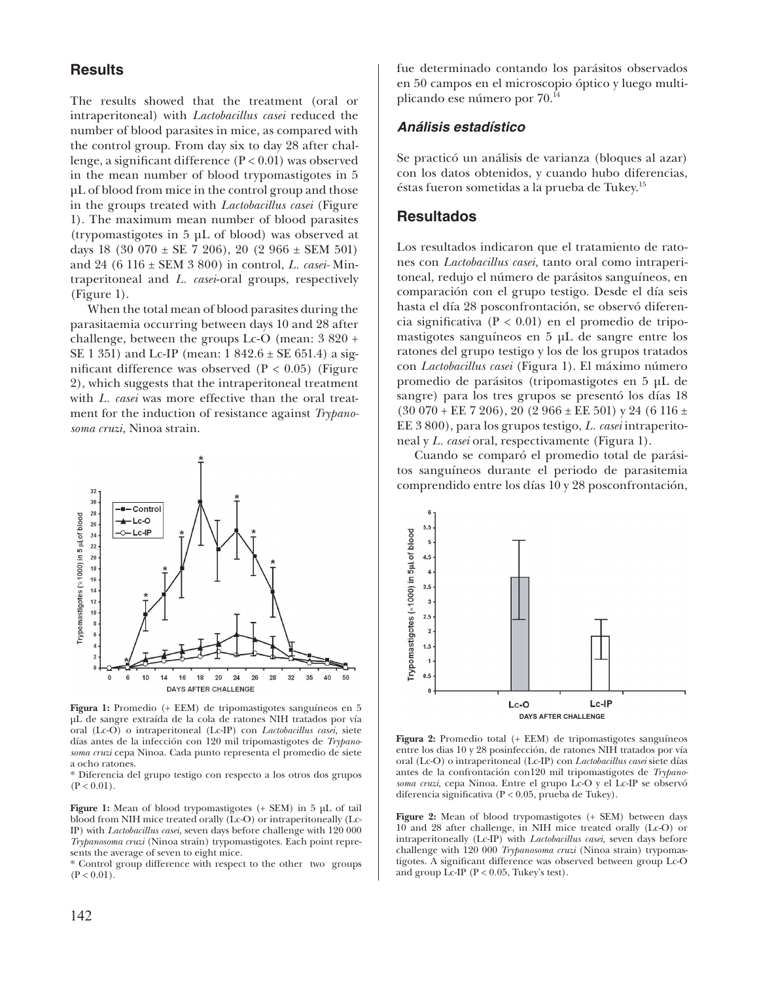#### **Results**

The results showed that the treatment (oral or intraperitoneal) with *Lactobacillus casei* reduced the number of blood parasites in mice, as compared with the control group. From day six to day 28 after challenge, a significant difference  $(P < 0.01)$  was observed in the mean number of blood trypomastigotes in 5 µL of blood from mice in the control group and those in the groups treated with *Lactobacillus casei* (Figure 1). The maximum mean number of blood parasites (trypomastigotes in 5 µL of blood) was observed at days 18 (30 070  $\pm$  SE 7 206), 20 (2 966  $\pm$  SEM 501) and 24 (6 116 ± SEM 3 800) in control, *L. casei-* Mintraperitoneal and *L. casei*-oral groups, respectively (Figure 1).

When the total mean of blood parasites during the parasitaemia occurring between days 10 and 28 after challenge, between the groups Lc-O (mean: 3 820 + SE 1 351) and Lc-IP (mean: 1 842.6 ± SE 651.4) a significant difference was observed  $(P < 0.05)$  (Figure 2), which suggests that the intraperitoneal treatment with *L. casei* was more effective than the oral treatment for the induction of resistance against *Trypanosoma cruzi,* Ninoa strain.



**Figura 1:** Promedio (+ EEM) de tripomastigotes sanguíneos en 5 µL de sangre extraída de la cola de ratones NIH tratados por vía oral (Lc-O) o intraperitoneal (Lc-IP) con *Lactobacillus casei,* siete días antes de la infección con 120 mil tripomastigotes de *Trypanosoma cruzi* cepa Ninoa. Cada punto representa el promedio de siete a ocho ratones.

\* Diferencia del grupo testigo con respecto a los otros dos grupos  $(P < 0.01)$ .

**Figure 1:** Mean of blood trypomastigotes (+ SEM) in 5 µL of tail blood from NIH mice treated orally (Lc-O) or intraperitoneally (Lc-IP) with *Lactobacillus casei,* seven days before challenge with 120 000 *Trypanosoma cruzi* (Ninoa strain) trypomastigotes. Each point represents the average of seven to eight mice.

\* Control group difference with respect to the other two groups  $(P < 0.01)$ .

fue determinado contando los parásitos observados en 50 campos en el microscopio óptico y luego multiplicando ese número por 70.14

#### *Análisis estadístico*

Se practicó un análisis de varianza (bloques al azar) con los datos obtenidos, y cuando hubo diferencias, éstas fueron sometidas a la prueba de Tukey.15

#### **Resultados**

Los resultados indicaron que el tratamiento de ratones con *Lactobacillus casei,* tanto oral como intraperitoneal, redujo el número de parásitos sanguíneos, en comparación con el grupo testigo. Desde el día seis hasta el día 28 posconfrontación, se observó diferencia significativa ( $P < 0.01$ ) en el promedio de tripomastigotes sanguíneos en 5 µL de sangre entre los ratones del grupo testigo y los de los grupos tratados con *Lactobacillus casei* (Figura 1). El máximo número promedio de parásitos (tripomastigotes en 5 µL de sangre) para los tres grupos se presentó los días 18  $(30070 + EE 7206), 20 (2966 \pm EE 501)$  y 24 (6 116 ± EE 3 800), para los grupos testigo, *L. casei* intraperitoneal y *L. casei* oral, respectivamente (Figura 1).

Cuando se comparó el promedio total de parásitos sanguíneos durante el periodo de parasitemia comprendido entre los días 10 y 28 posconfrontación,



**Figura 2:** Promedio total (+ EEM) de tripomastigotes sanguíneos entre los dias 10 y 28 posinfección, de ratones NIH tratados por vía oral (Lc-O) o intraperitoneal (Lc-IP) con *Lactobacillus casei* siete días antes de la confrontación con120 mil tripomastigotes de *Trypanosoma cruzi*, cepa Ninoa. Entre el grupo Lc-O y el Lc-IP se observó diferencia significativa ( $P < 0.05$ , prueba de Tukey).

**Figure 2:** Mean of blood trypomastigotes (+ SEM) between days 10 and 28 after challenge, in NIH mice treated orally (Lc-O) or intraperitoneally (Lc-IP) with *Lactobacillus casei,* seven days before challenge with 120 000 *Trypanosoma cruzi* (Ninoa strain) trypomastigotes. A significant difference was observed between group Lc-O and group Lc-IP (P < 0.05, Tukey's test).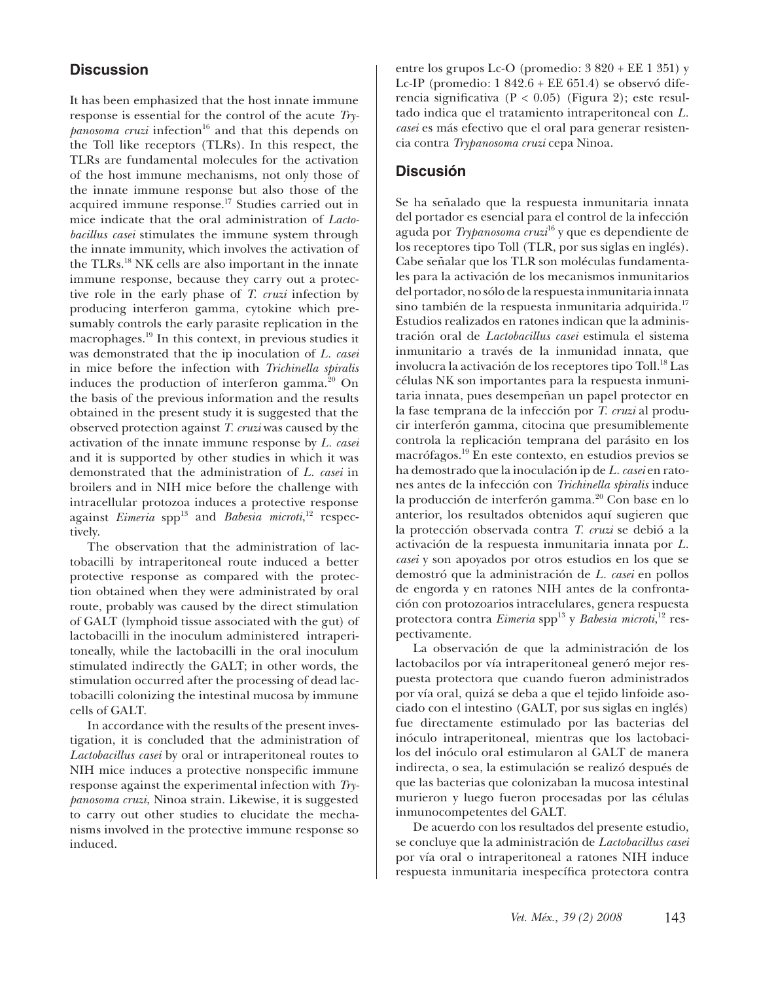# **Discussion**

It has been emphasized that the host innate immune response is essential for the control of the acute *Try* $panosoma$  *cruzi* infection<sup>16</sup> and that this depends on the Toll like receptors (TLRs). In this respect, the TLRs are fundamental molecules for the activation of the host immune mechanisms, not only those of the innate immune response but also those of the acquired immune response.17 Studies carried out in mice indicate that the oral administration of *Lactobacillus casei* stimulates the immune system through the innate immunity, which involves the activation of the TLRs.18 NK cells are also important in the innate immune response, because they carry out a protective role in the early phase of *T. cruzi* infection by producing interferon gamma, cytokine which presumably controls the early parasite replication in the macrophages.19 In this context, in previous studies it was demonstrated that the ip inoculation of *L. casei* in mice before the infection with *Trichinella spiralis*  induces the production of interferon gamma. $^{20}$  On the basis of the previous information and the results obtained in the present study it is suggested that the observed protection against *T. cruzi* was caused by the activation of the innate immune response by *L. casei*  and it is supported by other studies in which it was demonstrated that the administration of *L. casei* in broilers and in NIH mice before the challenge with intracellular protozoa induces a protective response against *Eimeria* spp<sup>13</sup> and *Babesia microti*,<sup>12</sup> respectively.

The observation that the administration of lactobacilli by intraperitoneal route induced a better protective response as compared with the protection obtained when they were administrated by oral route, probably was caused by the direct stimulation of GALT (lymphoid tissue associated with the gut) of lactobacilli in the inoculum administered intraperitoneally, while the lactobacilli in the oral inoculum stimulated indirectly the GALT; in other words, the stimulation occurred after the processing of dead lactobacilli colonizing the intestinal mucosa by immune cells of GALT.

In accordance with the results of the present investigation, it is concluded that the administration of *Lactobacillus casei* by oral or intraperitoneal routes to NIH mice induces a protective nonspecific immune response against the experimental infection with *Trypanosoma cruzi*, Ninoa strain. Likewise, it is suggested to carry out other studies to elucidate the mechanisms involved in the protective immune response so induced.

entre los grupos Lc-O (promedio: 3 820 + EE 1 351) y Lc-IP (promedio: 1 842.6 + EE 651.4) se observó diferencia significativa ( $P < 0.05$ ) (Figura 2); este resultado indica que el tratamiento intraperitoneal con *L. casei* es más efectivo que el oral para generar resistencia contra *Trypanosoma cruzi* cepa Ninoa.

# **Discusión**

Se ha señalado que la respuesta inmunitaria innata del portador es esencial para el control de la infección aguda por *Trypanosoma cruzi*16 y que es dependiente de los receptores tipo Toll (TLR, por sus siglas en inglés). Cabe señalar que los TLR son moléculas fundamentales para la activación de los mecanismos inmunitarios del portador, no sólo de la respuesta inmunitaria innata sino también de la respuesta inmunitaria adquirida.<sup>17</sup> Estudios realizados en ratones indican que la administración oral de *Lactobacillus casei* estimula el sistema inmunitario a través de la inmunidad innata, que involucra la activación de los receptores tipo Toll.18 Las células NK son importantes para la respuesta inmunitaria innata, pues desempeñan un papel protector en la fase temprana de la infección por *T. cruzi* al producir interferón gamma, citocina que presumiblemente controla la replicación temprana del parásito en los macrófagos.19 En este contexto, en estudios previos se ha demostrado que la inoculación ip de *L. casei* en ratones antes de la infección con *Trichinella spiralis* induce la producción de interferón gamma.<sup>20</sup> Con base en lo anterior, los resultados obtenidos aquí sugieren que la protección observada contra *T. cruzi* se debió a la activación de la respuesta inmunitaria innata por *L. casei* y son apoyados por otros estudios en los que se demostró que la administración de *L. casei* en pollos de engorda y en ratones NIH antes de la confrontación con protozoarios intracelulares, genera respuesta protectora contra *Eimeria* spp<sup>13</sup> y *Babesia microti*,<sup>12</sup> respectivamente.

La observación de que la administración de los lactobacilos por vía intraperitoneal generó mejor respuesta protectora que cuando fueron administrados por vía oral, quizá se deba a que el tejido linfoide asociado con el intestino (GALT, por sus siglas en inglés) fue directamente estimulado por las bacterias del inóculo intraperitoneal, mientras que los lactobacilos del inóculo oral estimularon al GALT de manera indirecta, o sea, la estimulación se realizó después de que las bacterias que colonizaban la mucosa intestinal murieron y luego fueron procesadas por las células inmunocompetentes del GALT.

De acuerdo con los resultados del presente estudio, se concluye que la administración de *Lactobacillus casei* por vía oral o intraperitoneal a ratones NIH induce respuesta inmunitaria inespecífica protectora contra